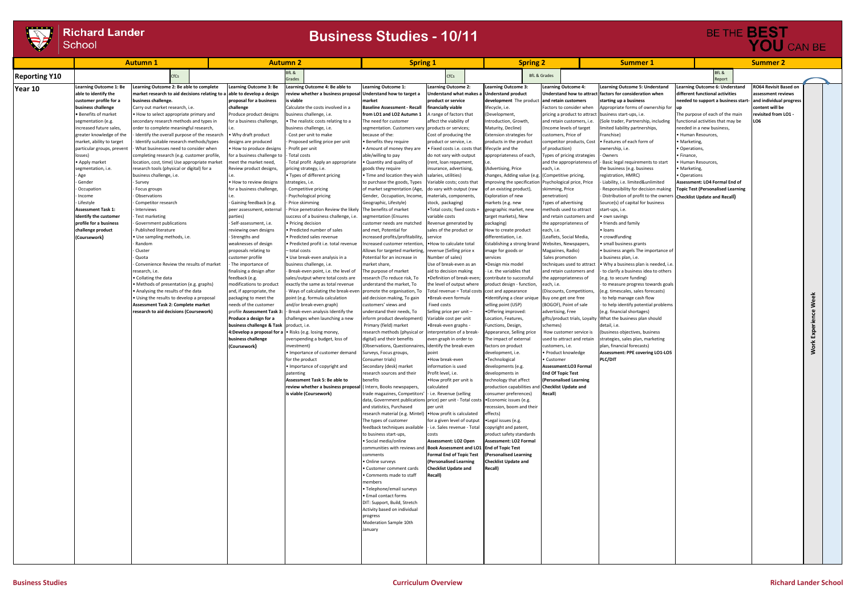## . . . . .

## **Richard Lander**<br>School

| BfL &<br>BfL &<br><b>BfL &amp; Grades</b><br>rcs<br><b>Reporting Y10</b><br>:fCs<br>Grades<br>Report<br>earning Outcome 2: Be able to complete<br><b>Learning Outcome 3: Be</b><br>Learning Outcome 4: Be able to<br><b>Learning Outcome 1:</b><br><b>Learning Outcome 3:</b><br>Learning Outcome 4:<br>Learning Outcome 5: Understand<br>Learning Outcome 6: Understand<br>RO64 Revisit Based on<br>earning Outcome 1: Be<br><b>Learning Outcome 2:</b><br>Year 10<br>different functional activities<br>able to identify the<br>market research to aid decisions relating to a<br>able to develop a design<br>eview whether a business proposa<br>Understand how to target a<br><b>Jnderstand what makes a</b><br><b>Understand product</b><br>Understand how to attract factors for consideration when<br>assessment reviews<br>customer profile for a<br>business challenge.<br>proposal for a business<br>s viable<br>development The product and retain customers<br>needed to support a business start-<br>and individual progress<br>market<br>product or service<br>starting up a business<br>business challenge<br>Carry out market research, i.e.<br>challenge<br>Calculate the costs involved in a<br><b>Baseline Assessment - Recall</b><br>financially viable<br>ifecycle, i.e.<br>Factors to consider when<br>Appropriate forms of ownership for<br>content will be<br><b>Benefits of market</b><br>revisited from LO1 -<br>Produce product designs<br>pusiness challenge, i.e.<br>from LO1 and LO2 Autumn 1<br>A range of factors that<br>Development,<br>pricing a product to attrac<br>The purpose of each of the main<br>• How to select appropriate primary and<br>business start-ups, i.e.<br>LO6<br>egmentation (e.g.<br>or a business challenge,<br>The realistic costs relating to a<br>The need for customer<br>affect the viability of<br>ntroduction, Growth,<br>(Sole trader, Partnership, including<br>functional activities that may be<br>secondary research methods and types in<br>and retain customers, i.e.<br>increased future sales,<br>Maturity, Decline)<br>business challenge, i.e.<br>segmentation. Customers vary products or services;<br>Income levels of target)<br>limited liability partnerships,<br>needed in a new business,<br>order to complete meaningful research,<br>greater knowledge of the<br>Why draft product<br>because of the:<br>Cost of producing the<br>Extension strategies for<br>ustomers, Price of<br>Human Resources,<br>Identify the overall purpose of the research<br>Cost per unit to make<br>Franchise)<br>Marketing,<br>market, ability to target<br>Identify suitable research methods/types<br>designs are produced<br>Proposed selling price per unit<br><b>Benefits they require</b><br>products in the product<br>competitor products, Cost<br>. Features of each form of<br>product or service, i.e.<br>What businesses need to consider when<br>Profit per unit<br>lifecycle and the<br>ownership, i.e.<br>Operations,<br>particular groups, prevent<br>How to produce designs<br>Amount of money they are<br>• Fixed costs i.e. costs tha<br>of production)<br>or a business challenge t<br>Total costs<br>Types of pricing strategies<br>Finance,<br>osses)<br>completing research (e.g. customer profile,<br>able/willing to pay<br>do not vary with output<br>appropriateness of each,<br>- Owners<br>Apply market<br>location, cost, time) Use appropriate market<br>neet the market need,<br>Total profit Apply an appropriate<br>Quantity and quality of<br>and the appropriateness o<br>- Basic legal requirements to start<br>Human Resources,<br>rent, loan repayment,<br>egmentation, i.e.<br>research tools (physical or digital) for a<br>Review product designs,<br>Advertising, Price<br>the business (e.g. business<br>Marketing,<br>oricing strategy, i.e.<br>goods they require<br>insurance, advertising,<br>each, i.e.<br>· Types of different pricing<br>Age<br>business challenge, i.e.<br>Time and location they wish<br>changes, Adding value (e.g. (Competitive pricing,<br>registration, HMRC)<br>• Operations<br>salaries, utilities)<br>Gender<br>. How to review designs<br>mproving the specification<br>Psychological price, Price<br>Liability, i.e. limited&unlimited<br>Assessment: LO4 Formal End of<br>Survey<br>trategies, i.e.<br>to purchase the goods, Types<br>/ariable costs; costs that<br>Occupation<br>Focus groups<br>for a business challenge,<br>Competitive pricing<br>of market segmentation (Age,<br>of an existing product),<br>skimming, Price<br>Responsibility for decision makin<br><b>Topic Test (Personalised Learning</b><br>do vary with output (raw<br>Observations<br>Psychological pricing<br>Exploration of new<br>Distribution of profit to the owner<br>Income<br>Gender, Occupation, Income,<br>materials, components,<br>penetration)<br><b>Checklist Update and Recall</b><br>Lifestyle<br>Competitor research<br>- Gaining feedback (e.g.<br>Price skimming<br>Geographic, Lifestyle)<br>markets (e.g. new<br>lypes of advertising<br>Source(s) of capital for business<br>stock, packaging)<br>The benefits of market<br><b>Assessment Task 1:</b><br>Interviews<br>Price penetration Review the likely<br>• Total costs; fixed costs +<br>nethods used to attract<br>peer assessment, externa<br>geographic market, new<br>start-ups, i.e.<br><b>Identify the customer</b><br>Test marketing<br>success of a business challenge, i.e.<br>egmentation (Ensures<br>target markets), New<br>parties)<br>variable costs<br>and retain customers and<br>• own savings<br>profile for a business<br>Government publications<br>- Self-assessment, i.e.<br>Pricing decision<br>customer needs are matched<br>packaging)<br>• friends and family<br>Revenue generated by<br>the appropriateness of<br>challenge product<br>Published literature<br>Predicted number of sales<br>and met, Potential for<br>each, i.e.<br>reviewing own designs<br>sales of the product or<br>low to create product<br>• Ioans<br>differentiation, i.e.<br>· Use sampling methods, i.e.<br>Strengths and<br>Predicted sales revenue<br>increased profits/profitability,<br>(Leaflets, Social Media,<br>• crowdfunding<br>(Coursework)<br>service<br>Random<br>weaknesses of design<br>Predicted profit i.e. total revenue<br>•How to calculate total<br>stablishing a strong brand<br>Websites, Newspapers,<br>• small business grants<br>Increased customer retention<br>Cluster<br>proposals relating to<br>total costs<br>Allows for targeted marketing,<br>evenue (Selling price x<br>mage for goods or<br>Magazines, Radio)<br>• business angels The importance of<br>Quota<br>customer profile<br>Use break-even analysis in a<br>Potential for an increase in<br>Number of sales)<br>services<br>Sales promotion<br>a business plan, i.e.<br>Convenience Review the results of market<br>The importance of<br>Jse of break-even as an<br>Design mix model<br>. Why a business plan is needed, i.e<br>business challenge, i.e.<br>market share,<br>techniques used to attract<br>research, i.e.<br>inalising a design after<br>Break-even point, i.e. the level of<br>The purpose of market<br>id to decision making<br>i.e. the variables that<br>and retain customers and<br>- to clarify a business idea to others<br>• Collating the data<br>feedback (e.g.<br>sales/output where total costs are<br>research (To reduce risk, To<br>Definition of break-even;<br>the appropriateness of<br>(e.g. to secure funding)<br>contribute to successful<br>· Methods of presentation (e.g. graphs)<br>exactly the same as total revenue<br>understand the market, To<br>he level of output where<br>product design - function<br>each, i.e.<br>modifications to product<br>to measure progress towards goals<br>• Analysing the results of the data<br>and, if appropriate, the<br>Ways of calculating the break-ever<br>promote the organisation, To<br>'otal revenue = Total costs<br>(Discounts, Competitions<br>(e.g. timescales, sales forecasts)<br>cost and appearance<br>Week<br>Using the results to develop a proposal<br>point (e.g. formula calculation<br>Break-even formula<br>to help manage cash flow<br>packaging to meet the<br>aid decision making, To gain<br>•Identifying a clear unique<br>Buy one get one free<br>(BOGOF), Point of sale<br>Assessment Task 2: Complete market<br>needs of the customer<br>and/or break-even graph)<br>customers' views and<br>selling point (USP)<br>- to help identify potential problems<br>Fixed costs<br>•Offering improved:<br>research to aid decisions (Coursework)<br>profile Assessment Task 3:<br>understand their needs, To<br>advertising, Free<br>(e.g. financial shortages)<br>Break-even analysis Identify the<br>elling price per unit -<br>Produce a design for a<br>challenges when launching a new<br>inform product development)<br>Variable cost per unit<br>Location, Features,<br>gifts/product trials, Loyalty What the business plan should<br>detail, i.e.<br>business challenge & Task<br>product, i.e.<br>Primary (field) market<br>Functions, Design,<br>schemes)<br>•Break-even graphs -<br>4:Develop a proposal for a<br>Risks (e.g. losing money,<br>research methods (physical or<br>interpretation of a break-<br>Appearance, Selling price<br>(business objectives, business<br>How customer service is<br>business challenge<br>overspending a budget, loss of<br>digital) and their benefits<br>The impact of external<br>used to attract and retair<br>strategies, sales plan, marketing<br>even graph in order to<br>Work<br>identify the break-even<br>plan, financial forecasts)<br>nvestment)<br>(Observations, Questionnaires,<br>factors on product<br>customers, i.e.<br>(Coursework)<br>development, i.e.<br>· Product knowledge<br>Importance of customer demand<br>Assessment: PPE covering LO1-LO5<br>Surveys, Focus groups,<br>ooint<br><b>PLC/DIT</b><br>for the product<br>•Technological<br>• Customer<br>Consumer trials)<br>•How break-even<br>Importance of copyright and<br>Secondary (desk) market<br>nformation is used<br>developments (e.g.<br>Assessment:LO3 Formal<br>Profit level, i.e.<br>developments in<br><b>End Of Topic Test</b><br>patenting<br>research sources and their<br>Assessment Task 5: Be able to<br>technology that affect<br>benefits<br>•How profit per unit is<br>(Personalised Learning<br>review whether a business proposal<br>Intern, Books newspapers,<br>production capabilities and Checklist Update and<br>calculated<br>is viable (Coursework)<br>consumer preferences)<br>trade magazines, Competitors'<br>i.e. Revenue (selling<br>Recall)<br>data, Government publications price) per unit - Total costs e Economic issues (e.g. |
|------------------------------------------------------------------------------------------------------------------------------------------------------------------------------------------------------------------------------------------------------------------------------------------------------------------------------------------------------------------------------------------------------------------------------------------------------------------------------------------------------------------------------------------------------------------------------------------------------------------------------------------------------------------------------------------------------------------------------------------------------------------------------------------------------------------------------------------------------------------------------------------------------------------------------------------------------------------------------------------------------------------------------------------------------------------------------------------------------------------------------------------------------------------------------------------------------------------------------------------------------------------------------------------------------------------------------------------------------------------------------------------------------------------------------------------------------------------------------------------------------------------------------------------------------------------------------------------------------------------------------------------------------------------------------------------------------------------------------------------------------------------------------------------------------------------------------------------------------------------------------------------------------------------------------------------------------------------------------------------------------------------------------------------------------------------------------------------------------------------------------------------------------------------------------------------------------------------------------------------------------------------------------------------------------------------------------------------------------------------------------------------------------------------------------------------------------------------------------------------------------------------------------------------------------------------------------------------------------------------------------------------------------------------------------------------------------------------------------------------------------------------------------------------------------------------------------------------------------------------------------------------------------------------------------------------------------------------------------------------------------------------------------------------------------------------------------------------------------------------------------------------------------------------------------------------------------------------------------------------------------------------------------------------------------------------------------------------------------------------------------------------------------------------------------------------------------------------------------------------------------------------------------------------------------------------------------------------------------------------------------------------------------------------------------------------------------------------------------------------------------------------------------------------------------------------------------------------------------------------------------------------------------------------------------------------------------------------------------------------------------------------------------------------------------------------------------------------------------------------------------------------------------------------------------------------------------------------------------------------------------------------------------------------------------------------------------------------------------------------------------------------------------------------------------------------------------------------------------------------------------------------------------------------------------------------------------------------------------------------------------------------------------------------------------------------------------------------------------------------------------------------------------------------------------------------------------------------------------------------------------------------------------------------------------------------------------------------------------------------------------------------------------------------------------------------------------------------------------------------------------------------------------------------------------------------------------------------------------------------------------------------------------------------------------------------------------------------------------------------------------------------------------------------------------------------------------------------------------------------------------------------------------------------------------------------------------------------------------------------------------------------------------------------------------------------------------------------------------------------------------------------------------------------------------------------------------------------------------------------------------------------------------------------------------------------------------------------------------------------------------------------------------------------------------------------------------------------------------------------------------------------------------------------------------------------------------------------------------------------------------------------------------------------------------------------------------------------------------------------------------------------------------------------------------------------------------------------------------------------------------------------------------------------------------------------------------------------------------------------------------------------------------------------------------------------------------------------------------------------------------------------------------------------------------------------------------------------------------------------------------------------------------------------------------------------------------------------------------------------------------------------------------------------------------------------------------------------------------------------------------------------------------------------------------------------------------------------------------------------------------------------------------------------------------------------------------------------------------------------------------------------------------------------------------------------------------------------------------------------------------------------------------------------------------------------------------------------------------------------------------------------------------------------------------------------------------------------------------------------------------------------------------------------------------------------------------------------------------------------------------------------------------------------------------------------------------------------------------------------------------------------------------------------------------------------------------------------------------------------------------------------------------------------------------------------------------------------------------------------------------------------------------------------------------------------------------------------------------------------------------------------------------------------------------------------------------------------------------------------------------------------------------------------------------------------------------------------------------------------------------------------------------------------------------------------------------------------------------------------------------------------------------------------------------------------------------------------------------------------------------------------------------------------------------------------------------------------------------------------------------------------------------------------------------------------------------------------------------------------------------------------------------------------------------------------------------------------------------------------------------------------------------------------------------------------------------------------------------------------------------------------------------------------------------------------------------------------------------------------------------------------------------------------------------------------------------------------------------------------------------------------------------------------------------------------------------------------------------------------------------------------------------------------------------------------------------------------------------------------------------------------------------------------------------------------------------------------------------------------------------------------------------------------------------------------------------------------------------------------------------------------------------------------------------------------------------------------------------------------------------------------------------------------------------------------------------------------------------------------------------------------------------------------------------------------------------------------------------------------------------------------------------------------------------------------------------------------------------------------------------------------------------------------------------------------------------------------------------------------------------------------------------------------------------------------------------|
|                                                                                                                                                                                                                                                                                                                                                                                                                                                                                                                                                                                                                                                                                                                                                                                                                                                                                                                                                                                                                                                                                                                                                                                                                                                                                                                                                                                                                                                                                                                                                                                                                                                                                                                                                                                                                                                                                                                                                                                                                                                                                                                                                                                                                                                                                                                                                                                                                                                                                                                                                                                                                                                                                                                                                                                                                                                                                                                                                                                                                                                                                                                                                                                                                                                                                                                                                                                                                                                                                                                                                                                                                                                                                                                                                                                                                                                                                                                                                                                                                                                                                                                                                                                                                                                                                                                                                                                                                                                                                                                                                                                                                                                                                                                                                                                                                                                                                                                                                                                                                                                                                                                                                                                                                                                                                                                                                                                                                                                                                                                                                                                                                                                                                                                                                                                                                                                                                                                                                                                                                                                                                                                                                                                                                                                                                                                                                                                                                                                                                                                                                                                                                                                                                                                                                                                                                                                                                                                                                                                                                                                                                                                                                                                                                                                                                                                                                                                                                                                                                                                                                                                                                                                                                                                                                                                                                                                                                                                                                                                                                                                                                                                                                                                                                                                                                                                                                                                                                                                                                                                                                                                                                                                                                                                                                                                                                                                                                                                                                                                                                                                                                                                                                                                                                                                                                                                                                                                                                                                                                                                                                                                                                                                                                                                                                                                                                                                                                                                                                                                                                                                                                                                                                                                                                                                                                                                                                                                                                                                                                                                                                                                                                                                                                                                                                                                                                              |
| and statistics, Purchased<br>recession, boom and their<br>per unit<br>research material (e.g. Mintel) . How profit is calculated<br>effects)<br>The types of customer<br>for a given level of output<br>•Legal issues (e.g.<br>feedback techniques available<br>i.e. Sales revenue - Total<br>copyright and patent,<br>to business start-ups,<br>product safety standards<br>costs<br>Social media/online<br>Assessment: LO2 Open<br>Assessment: LO2 Formal<br>communities with reviews and Book Assessment and LO1<br><b>End of Topic Test</b><br>Formal End of Topic Test<br>(Personalised Learning<br>comments<br>(Personalised Learning<br><b>Checklist Update and</b><br>Online surveys<br>Checklist Update and<br>Recall)<br>Customer comment cards<br>Comments made to staff<br>Recall)<br>nembers<br>Telephone/email surveys                                                                                                                                                                                                                                                                                                                                                                                                                                                                                                                                                                                                                                                                                                                                                                                                                                                                                                                                                                                                                                                                                                                                                                                                                                                                                                                                                                                                                                                                                                                                                                                                                                                                                                                                                                                                                                                                                                                                                                                                                                                                                                                                                                                                                                                                                                                                                                                                                                                                                                                                                                                                                                                                                                                                                                                                                                                                                                                                                                                                                                                                                                                                                                                                                                                                                                                                                                                                                                                                                                                                                                                                                                                                                                                                                                                                                                                                                                                                                                                                                                                                                                                                                                                                                                                                                                                                                                                                                                                                                                                                                                                                                                                                                                                                                                                                                                                                                                                                                                                                                                                                                                                                                                                                                                                                                                                                                                                                                                                                                                                                                                                                                                                                                                                                                                                                                                                                                                                                                                                                                                                                                                                                                                                                                                                                                                                                                                                                                                                                                                                                                                                                                                                                                                                                                                                                                                                                                                                                                                                                                                                                                                                                                                                                                                                                                                                                                                                                                                                                                                                                                                                                                                                                                                                                                                                                                                                                                                                                                                                                                                                                                                                                                                                                                                                                                                                                                                                                                                                                                                                                                                                                                                                                                                                                                                                                                                                                                                                                                                                                                                                                                                                                                                                                                                                                                                                                                                                                                                                                                                                                                                                                                                                                                                                                                                                                                                                                                                                                                                                         |



## **Business Studies - 10/11**